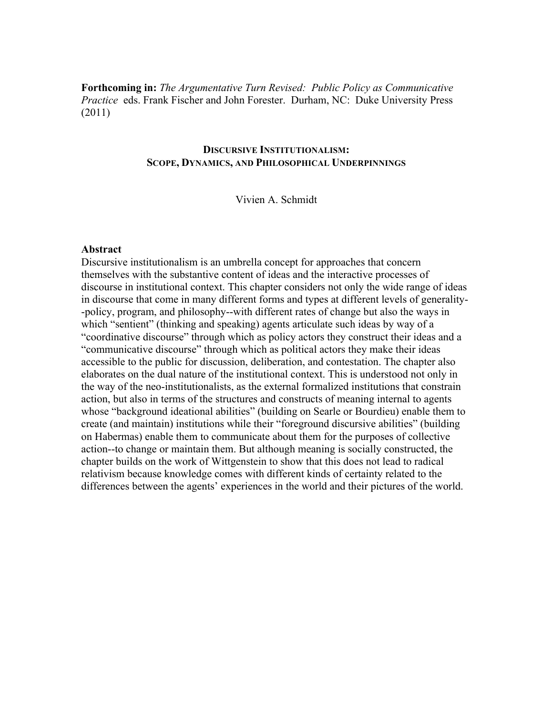**Forthcoming in:** *The Argumentative Turn Revised: Public Policy as Communicative Practice* eds. Frank Fischer and John Forester. Durham, NC: Duke University Press (2011)

## **DISCURSIVE INSTITUTIONALISM: SCOPE, DYNAMICS, AND PHILOSOPHICAL UNDERPINNINGS**

Vivien A. Schmidt

### **Abstract**

Discursive institutionalism is an umbrella concept for approaches that concern themselves with the substantive content of ideas and the interactive processes of discourse in institutional context. This chapter considers not only the wide range of ideas in discourse that come in many different forms and types at different levels of generality- -policy, program, and philosophy--with different rates of change but also the ways in which "sentient" (thinking and speaking) agents articulate such ideas by way of a "coordinative discourse" through which as policy actors they construct their ideas and a "communicative discourse" through which as political actors they make their ideas accessible to the public for discussion, deliberation, and contestation. The chapter also elaborates on the dual nature of the institutional context. This is understood not only in the way of the neo-institutionalists, as the external formalized institutions that constrain action, but also in terms of the structures and constructs of meaning internal to agents whose "background ideational abilities" (building on Searle or Bourdieu) enable them to create (and maintain) institutions while their "foreground discursive abilities" (building on Habermas) enable them to communicate about them for the purposes of collective action--to change or maintain them. But although meaning is socially constructed, the chapter builds on the work of Wittgenstein to show that this does not lead to radical relativism because knowledge comes with different kinds of certainty related to the differences between the agents' experiences in the world and their pictures of the world.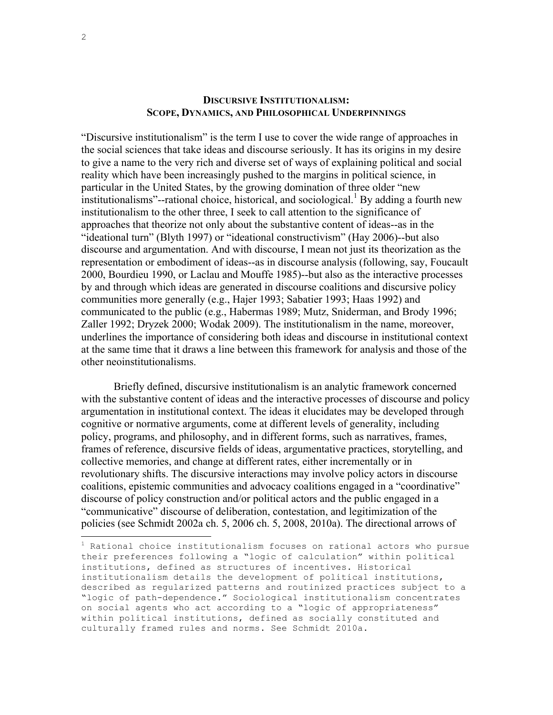# **DISCURSIVE INSTITUTIONALISM: SCOPE, DYNAMICS, AND PHILOSOPHICAL UNDERPINNINGS**

"Discursive institutionalism" is the term I use to cover the wide range of approaches in the social sciences that take ideas and discourse seriously. It has its origins in my desire to give a name to the very rich and diverse set of ways of explaining political and social reality which have been increasingly pushed to the margins in political science, in particular in the United States, by the growing domination of three older "new institutionalisms"--rational choice, historical, and sociological.<sup>1</sup> By adding a fourth new institutionalism to the other three, I seek to call attention to the significance of approaches that theorize not only about the substantive content of ideas--as in the "ideational turn" (Blyth 1997) or "ideational constructivism" (Hay 2006)--but also discourse and argumentation. And with discourse, I mean not just its theorization as the representation or embodiment of ideas--as in discourse analysis (following, say, Foucault 2000, Bourdieu 1990, or Laclau and Mouffe 1985)--but also as the interactive processes by and through which ideas are generated in discourse coalitions and discursive policy communities more generally (e.g., Hajer 1993; Sabatier 1993; Haas 1992) and communicated to the public (e.g., Habermas 1989; Mutz, Sniderman, and Brody 1996; Zaller 1992; Dryzek 2000; Wodak 2009). The institutionalism in the name, moreover, underlines the importance of considering both ideas and discourse in institutional context at the same time that it draws a line between this framework for analysis and those of the other neoinstitutionalisms.

Briefly defined, discursive institutionalism is an analytic framework concerned with the substantive content of ideas and the interactive processes of discourse and policy argumentation in institutional context. The ideas it elucidates may be developed through cognitive or normative arguments, come at different levels of generality, including policy, programs, and philosophy, and in different forms, such as narratives, frames, frames of reference, discursive fields of ideas, argumentative practices, storytelling, and collective memories, and change at different rates, either incrementally or in revolutionary shifts. The discursive interactions may involve policy actors in discourse coalitions, epistemic communities and advocacy coalitions engaged in a "coordinative" discourse of policy construction and/or political actors and the public engaged in a "communicative" discourse of deliberation, contestation, and legitimization of the policies (see Schmidt 2002a ch. 5, 2006 ch. 5, 2008, 2010a). The directional arrows of

i

 $1$  Rational choice institutionalism focuses on rational actors who pursue their preferences following a "logic of calculation" within political institutions, defined as structures of incentives. Historical institutionalism details the development of political institutions, described as regularized patterns and routinized practices subject to a "logic of path-dependence." Sociological institutionalism concentrates on social agents who act according to a "logic of appropriateness" within political institutions, defined as socially constituted and culturally framed rules and norms. See Schmidt 2010a.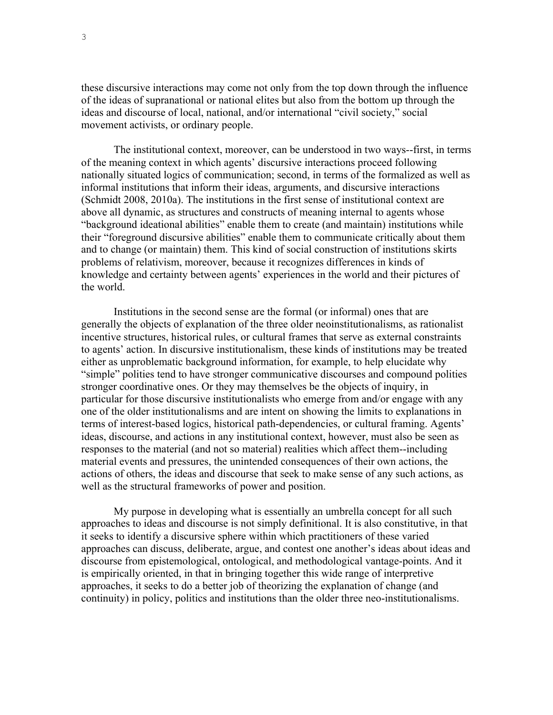these discursive interactions may come not only from the top down through the influence of the ideas of supranational or national elites but also from the bottom up through the ideas and discourse of local, national, and/or international "civil society," social movement activists, or ordinary people.

The institutional context, moreover, can be understood in two ways--first, in terms of the meaning context in which agents' discursive interactions proceed following nationally situated logics of communication; second, in terms of the formalized as well as informal institutions that inform their ideas, arguments, and discursive interactions (Schmidt 2008, 2010a). The institutions in the first sense of institutional context are above all dynamic, as structures and constructs of meaning internal to agents whose "background ideational abilities" enable them to create (and maintain) institutions while their "foreground discursive abilities" enable them to communicate critically about them and to change (or maintain) them. This kind of social construction of institutions skirts problems of relativism, moreover, because it recognizes differences in kinds of knowledge and certainty between agents' experiences in the world and their pictures of the world.

Institutions in the second sense are the formal (or informal) ones that are generally the objects of explanation of the three older neoinstitutionalisms, as rationalist incentive structures, historical rules, or cultural frames that serve as external constraints to agents' action. In discursive institutionalism, these kinds of institutions may be treated either as unproblematic background information, for example, to help elucidate why "simple" polities tend to have stronger communicative discourses and compound polities stronger coordinative ones. Or they may themselves be the objects of inquiry, in particular for those discursive institutionalists who emerge from and/or engage with any one of the older institutionalisms and are intent on showing the limits to explanations in terms of interest-based logics, historical path-dependencies, or cultural framing. Agents' ideas, discourse, and actions in any institutional context, however, must also be seen as responses to the material (and not so material) realities which affect them--including material events and pressures, the unintended consequences of their own actions, the actions of others, the ideas and discourse that seek to make sense of any such actions, as well as the structural frameworks of power and position.

My purpose in developing what is essentially an umbrella concept for all such approaches to ideas and discourse is not simply definitional. It is also constitutive, in that it seeks to identify a discursive sphere within which practitioners of these varied approaches can discuss, deliberate, argue, and contest one another's ideas about ideas and discourse from epistemological, ontological, and methodological vantage-points. And it is empirically oriented, in that in bringing together this wide range of interpretive approaches, it seeks to do a better job of theorizing the explanation of change (and continuity) in policy, politics and institutions than the older three neo-institutionalisms.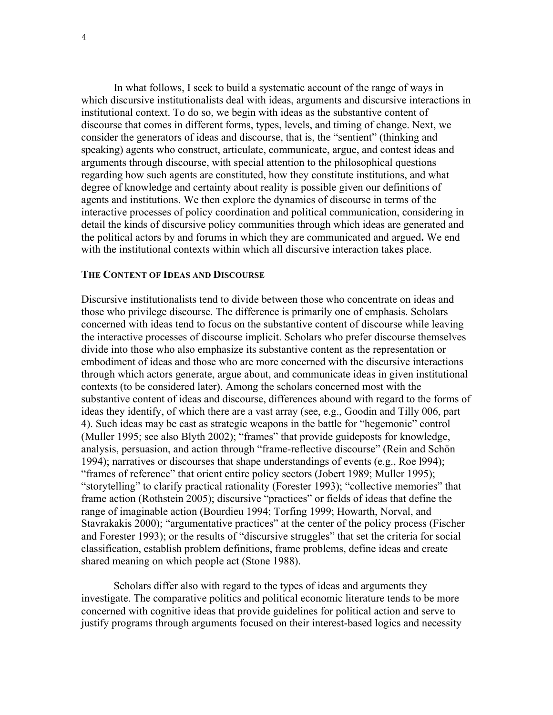In what follows, I seek to build a systematic account of the range of ways in which discursive institutionalists deal with ideas, arguments and discursive interactions in institutional context. To do so, we begin with ideas as the substantive content of discourse that comes in different forms, types, levels, and timing of change. Next, we consider the generators of ideas and discourse, that is, the "sentient" (thinking and speaking) agents who construct, articulate, communicate, argue, and contest ideas and arguments through discourse, with special attention to the philosophical questions regarding how such agents are constituted, how they constitute institutions, and what degree of knowledge and certainty about reality is possible given our definitions of agents and institutions. We then explore the dynamics of discourse in terms of the interactive processes of policy coordination and political communication, considering in detail the kinds of discursive policy communities through which ideas are generated and the political actors by and forums in which they are communicated and argued**.** We end with the institutional contexts within which all discursive interaction takes place.

### **THE CONTENT OF IDEAS AND DISCOURSE**

Discursive institutionalists tend to divide between those who concentrate on ideas and those who privilege discourse. The difference is primarily one of emphasis. Scholars concerned with ideas tend to focus on the substantive content of discourse while leaving the interactive processes of discourse implicit. Scholars who prefer discourse themselves divide into those who also emphasize its substantive content as the representation or embodiment of ideas and those who are more concerned with the discursive interactions through which actors generate, argue about, and communicate ideas in given institutional contexts (to be considered later). Among the scholars concerned most with the substantive content of ideas and discourse, differences abound with regard to the forms of ideas they identify, of which there are a vast array (see, e.g., Goodin and Tilly 006, part 4). Such ideas may be cast as strategic weapons in the battle for "hegemonic" control (Muller 1995; see also Blyth 2002); "frames" that provide guideposts for knowledge, analysis, persuasion, and action through "frame-reflective discourse" (Rein and Schön 1994); narratives or discourses that shape understandings of events (e.g., Roe l994); "frames of reference" that orient entire policy sectors (Jobert 1989; Muller 1995); "storytelling" to clarify practical rationality (Forester 1993); "collective memories" that frame action (Rothstein 2005); discursive "practices" or fields of ideas that define the range of imaginable action (Bourdieu 1994; Torfing 1999; Howarth, Norval, and Stavrakakis 2000); "argumentative practices" at the center of the policy process (Fischer and Forester 1993); or the results of "discursive struggles" that set the criteria for social classification, establish problem definitions, frame problems, define ideas and create shared meaning on which people act (Stone 1988).

Scholars differ also with regard to the types of ideas and arguments they investigate. The comparative politics and political economic literature tends to be more concerned with cognitive ideas that provide guidelines for political action and serve to justify programs through arguments focused on their interest-based logics and necessity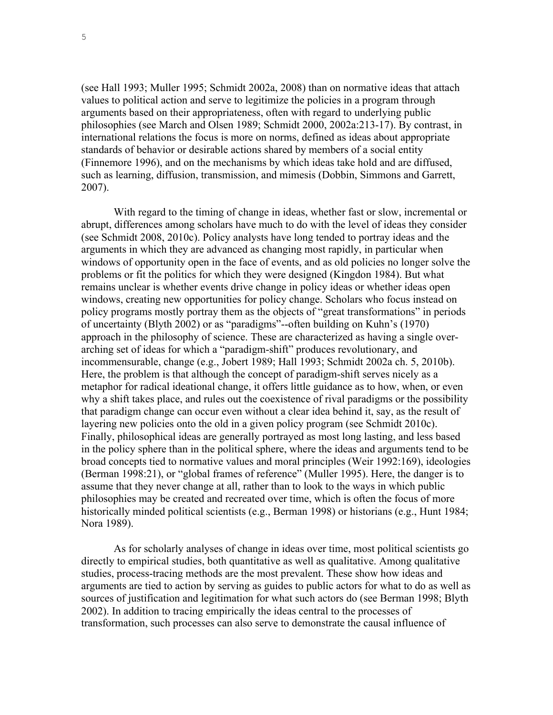5

(see Hall 1993; Muller 1995; Schmidt 2002a, 2008) than on normative ideas that attach values to political action and serve to legitimize the policies in a program through arguments based on their appropriateness, often with regard to underlying public philosophies (see March and Olsen 1989; Schmidt 2000, 2002a:213-17). By contrast, in international relations the focus is more on norms, defined as ideas about appropriate standards of behavior or desirable actions shared by members of a social entity (Finnemore 1996), and on the mechanisms by which ideas take hold and are diffused, such as learning, diffusion, transmission, and mimesis (Dobbin, Simmons and Garrett, 2007).

With regard to the timing of change in ideas, whether fast or slow, incremental or abrupt, differences among scholars have much to do with the level of ideas they consider (see Schmidt 2008, 2010c). Policy analysts have long tended to portray ideas and the arguments in which they are advanced as changing most rapidly, in particular when windows of opportunity open in the face of events, and as old policies no longer solve the problems or fit the politics for which they were designed (Kingdon 1984). But what remains unclear is whether events drive change in policy ideas or whether ideas open windows, creating new opportunities for policy change. Scholars who focus instead on policy programs mostly portray them as the objects of "great transformations" in periods of uncertainty (Blyth 2002) or as "paradigms"--often building on Kuhn's (1970) approach in the philosophy of science. These are characterized as having a single overarching set of ideas for which a "paradigm-shift" produces revolutionary, and incommensurable, change (e.g., Jobert 1989; Hall 1993; Schmidt 2002a ch. 5, 2010b). Here, the problem is that although the concept of paradigm-shift serves nicely as a metaphor for radical ideational change, it offers little guidance as to how, when, or even why a shift takes place, and rules out the coexistence of rival paradigms or the possibility that paradigm change can occur even without a clear idea behind it, say, as the result of layering new policies onto the old in a given policy program (see Schmidt 2010c). Finally, philosophical ideas are generally portrayed as most long lasting, and less based in the policy sphere than in the political sphere, where the ideas and arguments tend to be broad concepts tied to normative values and moral principles (Weir 1992:169), ideologies (Berman 1998:21), or "global frames of reference" (Muller 1995). Here, the danger is to assume that they never change at all, rather than to look to the ways in which public philosophies may be created and recreated over time, which is often the focus of more historically minded political scientists (e.g., Berman 1998) or historians (e.g., Hunt 1984; Nora 1989).

As for scholarly analyses of change in ideas over time, most political scientists go directly to empirical studies, both quantitative as well as qualitative. Among qualitative studies, process-tracing methods are the most prevalent. These show how ideas and arguments are tied to action by serving as guides to public actors for what to do as well as sources of justification and legitimation for what such actors do (see Berman 1998; Blyth 2002). In addition to tracing empirically the ideas central to the processes of transformation, such processes can also serve to demonstrate the causal influence of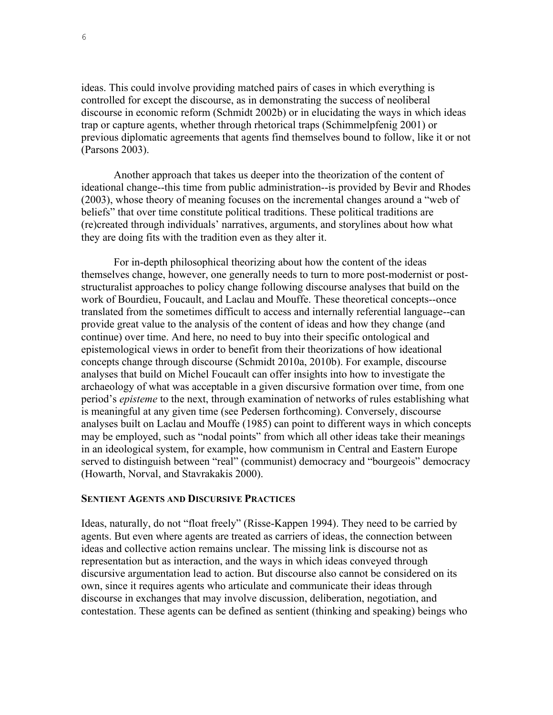ideas. This could involve providing matched pairs of cases in which everything is controlled for except the discourse, as in demonstrating the success of neoliberal discourse in economic reform (Schmidt 2002b) or in elucidating the ways in which ideas trap or capture agents, whether through rhetorical traps (Schimmelpfenig 2001) or previous diplomatic agreements that agents find themselves bound to follow, like it or not (Parsons 2003).

Another approach that takes us deeper into the theorization of the content of ideational change--this time from public administration--is provided by Bevir and Rhodes (2003), whose theory of meaning focuses on the incremental changes around a "web of beliefs" that over time constitute political traditions. These political traditions are (re)created through individuals' narratives, arguments, and storylines about how what they are doing fits with the tradition even as they alter it.

For in-depth philosophical theorizing about how the content of the ideas themselves change, however, one generally needs to turn to more post-modernist or poststructuralist approaches to policy change following discourse analyses that build on the work of Bourdieu, Foucault, and Laclau and Mouffe. These theoretical concepts--once translated from the sometimes difficult to access and internally referential language--can provide great value to the analysis of the content of ideas and how they change (and continue) over time. And here, no need to buy into their specific ontological and epistemological views in order to benefit from their theorizations of how ideational concepts change through discourse (Schmidt 2010a, 2010b). For example, discourse analyses that build on Michel Foucault can offer insights into how to investigate the archaeology of what was acceptable in a given discursive formation over time, from one period's *episteme* to the next, through examination of networks of rules establishing what is meaningful at any given time (see Pedersen forthcoming). Conversely, discourse analyses built on Laclau and Mouffe (1985) can point to different ways in which concepts may be employed, such as "nodal points" from which all other ideas take their meanings in an ideological system, for example, how communism in Central and Eastern Europe served to distinguish between "real" (communist) democracy and "bourgeois" democracy (Howarth, Norval, and Stavrakakis 2000).

### **SENTIENT AGENTS AND DISCURSIVE PRACTICES**

Ideas, naturally, do not "float freely" (Risse-Kappen 1994). They need to be carried by agents. But even where agents are treated as carriers of ideas, the connection between ideas and collective action remains unclear. The missing link is discourse not as representation but as interaction, and the ways in which ideas conveyed through discursive argumentation lead to action. But discourse also cannot be considered on its own, since it requires agents who articulate and communicate their ideas through discourse in exchanges that may involve discussion, deliberation, negotiation, and contestation. These agents can be defined as sentient (thinking and speaking) beings who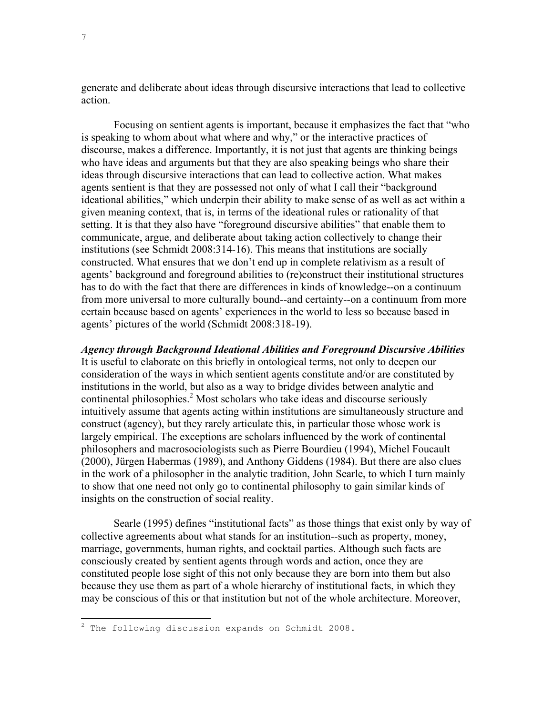generate and deliberate about ideas through discursive interactions that lead to collective action.

Focusing on sentient agents is important, because it emphasizes the fact that "who is speaking to whom about what where and why," or the interactive practices of discourse, makes a difference. Importantly, it is not just that agents are thinking beings who have ideas and arguments but that they are also speaking beings who share their ideas through discursive interactions that can lead to collective action. What makes agents sentient is that they are possessed not only of what I call their "background ideational abilities," which underpin their ability to make sense of as well as act within a given meaning context, that is, in terms of the ideational rules or rationality of that setting. It is that they also have "foreground discursive abilities" that enable them to communicate, argue, and deliberate about taking action collectively to change their institutions (see Schmidt 2008:314-16). This means that institutions are socially constructed. What ensures that we don't end up in complete relativism as a result of agents' background and foreground abilities to (re)construct their institutional structures has to do with the fact that there are differences in kinds of knowledge--on a continuum from more universal to more culturally bound--and certainty--on a continuum from more certain because based on agents' experiences in the world to less so because based in agents' pictures of the world (Schmidt 2008:318-19).

# *Agency through Background Ideational Abilities and Foreground Discursive Abilities*

It is useful to elaborate on this briefly in ontological terms, not only to deepen our consideration of the ways in which sentient agents constitute and/or are constituted by institutions in the world, but also as a way to bridge divides between analytic and continental philosophies.<sup>2</sup> Most scholars who take ideas and discourse seriously intuitively assume that agents acting within institutions are simultaneously structure and construct (agency), but they rarely articulate this, in particular those whose work is largely empirical. The exceptions are scholars influenced by the work of continental philosophers and macrosociologists such as Pierre Bourdieu (1994), Michel Foucault (2000), Jürgen Habermas (1989), and Anthony Giddens (1984). But there are also clues in the work of a philosopher in the analytic tradition, John Searle, to which I turn mainly to show that one need not only go to continental philosophy to gain similar kinds of insights on the construction of social reality.

Searle (1995) defines "institutional facts" as those things that exist only by way of collective agreements about what stands for an institution--such as property, money, marriage, governments, human rights, and cocktail parties. Although such facts are consciously created by sentient agents through words and action, once they are constituted people lose sight of this not only because they are born into them but also because they use them as part of a whole hierarchy of institutional facts, in which they may be conscious of this or that institution but not of the whole architecture. Moreover,

i

 $2$  The following discussion expands on Schmidt 2008.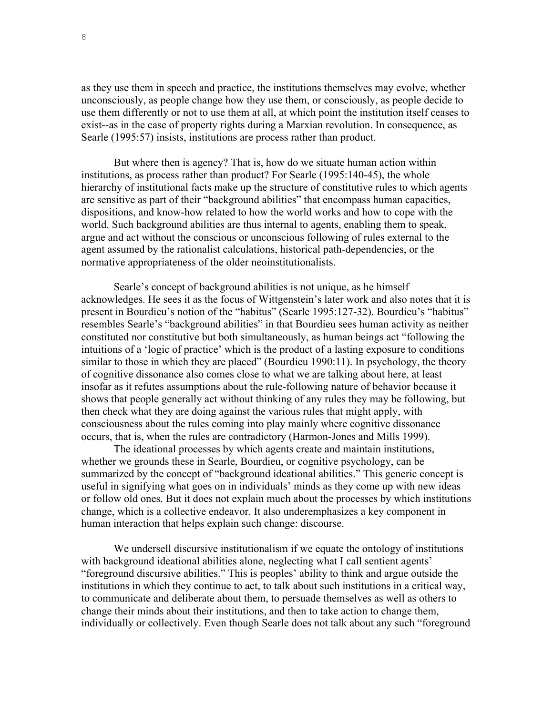as they use them in speech and practice, the institutions themselves may evolve, whether unconsciously, as people change how they use them, or consciously, as people decide to use them differently or not to use them at all, at which point the institution itself ceases to exist--as in the case of property rights during a Marxian revolution. In consequence, as Searle (1995:57) insists, institutions are process rather than product.

But where then is agency? That is, how do we situate human action within institutions, as process rather than product? For Searle (1995:140-45), the whole hierarchy of institutional facts make up the structure of constitutive rules to which agents are sensitive as part of their "background abilities" that encompass human capacities, dispositions, and know-how related to how the world works and how to cope with the world. Such background abilities are thus internal to agents, enabling them to speak, argue and act without the conscious or unconscious following of rules external to the agent assumed by the rationalist calculations, historical path-dependencies, or the normative appropriateness of the older neoinstitutionalists.

Searle's concept of background abilities is not unique, as he himself acknowledges. He sees it as the focus of Wittgenstein's later work and also notes that it is present in Bourdieu's notion of the "habitus" (Searle 1995:127-32). Bourdieu's "habitus" resembles Searle's "background abilities" in that Bourdieu sees human activity as neither constituted nor constitutive but both simultaneously, as human beings act "following the intuitions of a 'logic of practice' which is the product of a lasting exposure to conditions similar to those in which they are placed" (Bourdieu 1990:11). In psychology, the theory of cognitive dissonance also comes close to what we are talking about here, at least insofar as it refutes assumptions about the rule-following nature of behavior because it shows that people generally act without thinking of any rules they may be following, but then check what they are doing against the various rules that might apply, with consciousness about the rules coming into play mainly where cognitive dissonance occurs, that is, when the rules are contradictory (Harmon-Jones and Mills 1999).

The ideational processes by which agents create and maintain institutions, whether we grounds these in Searle, Bourdieu, or cognitive psychology, can be summarized by the concept of "background ideational abilities." This generic concept is useful in signifying what goes on in individuals' minds as they come up with new ideas or follow old ones. But it does not explain much about the processes by which institutions change, which is a collective endeavor. It also underemphasizes a key component in human interaction that helps explain such change: discourse.

We undersell discursive institutionalism if we equate the ontology of institutions with background ideational abilities alone, neglecting what I call sentient agents' "foreground discursive abilities." This is peoples' ability to think and argue outside the institutions in which they continue to act, to talk about such institutions in a critical way, to communicate and deliberate about them, to persuade themselves as well as others to change their minds about their institutions, and then to take action to change them, individually or collectively. Even though Searle does not talk about any such "foreground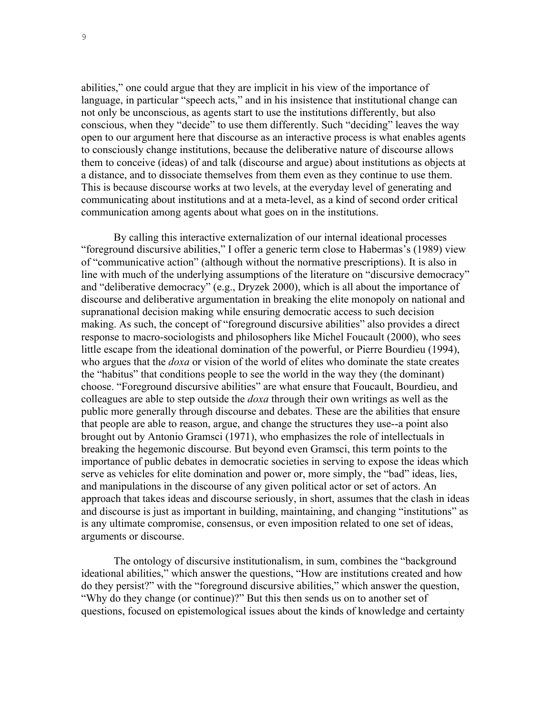abilities," one could argue that they are implicit in his view of the importance of language, in particular "speech acts," and in his insistence that institutional change can not only be unconscious, as agents start to use the institutions differently, but also conscious, when they "decide" to use them differently. Such "deciding" leaves the way open to our argument here that discourse as an interactive process is what enables agents to consciously change institutions, because the deliberative nature of discourse allows them to conceive (ideas) of and talk (discourse and argue) about institutions as objects at a distance, and to dissociate themselves from them even as they continue to use them. This is because discourse works at two levels, at the everyday level of generating and communicating about institutions and at a meta-level, as a kind of second order critical communication among agents about what goes on in the institutions.

By calling this interactive externalization of our internal ideational processes "foreground discursive abilities," I offer a generic term close to Habermas's (1989) view of "communicative action" (although without the normative prescriptions). It is also in line with much of the underlying assumptions of the literature on "discursive democracy" and "deliberative democracy" (e.g., Dryzek 2000), which is all about the importance of discourse and deliberative argumentation in breaking the elite monopoly on national and supranational decision making while ensuring democratic access to such decision making. As such, the concept of "foreground discursive abilities" also provides a direct response to macro-sociologists and philosophers like Michel Foucault (2000), who sees little escape from the ideational domination of the powerful, or Pierre Bourdieu (1994), who argues that the *doxa* or vision of the world of elites who dominate the state creates the "habitus" that conditions people to see the world in the way they (the dominant) choose. "Foreground discursive abilities" are what ensure that Foucault, Bourdieu, and colleagues are able to step outside the *doxa* through their own writings as well as the public more generally through discourse and debates. These are the abilities that ensure that people are able to reason, argue, and change the structures they use--a point also brought out by Antonio Gramsci (1971), who emphasizes the role of intellectuals in breaking the hegemonic discourse. But beyond even Gramsci, this term points to the importance of public debates in democratic societies in serving to expose the ideas which serve as vehicles for elite domination and power or, more simply, the "bad" ideas, lies, and manipulations in the discourse of any given political actor or set of actors. An approach that takes ideas and discourse seriously, in short, assumes that the clash in ideas and discourse is just as important in building, maintaining, and changing "institutions" as is any ultimate compromise, consensus, or even imposition related to one set of ideas, arguments or discourse.

The ontology of discursive institutionalism, in sum, combines the "background ideational abilities," which answer the questions, "How are institutions created and how do they persist?" with the "foreground discursive abilities," which answer the question, "Why do they change (or continue)?" But this then sends us on to another set of questions, focused on epistemological issues about the kinds of knowledge and certainty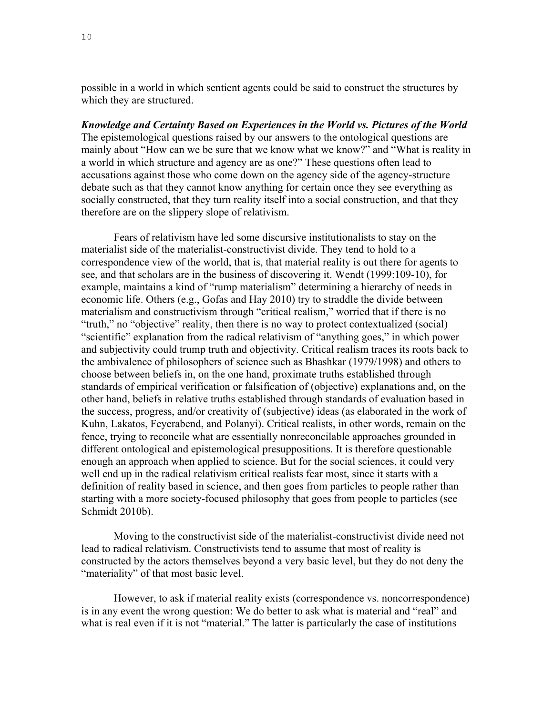possible in a world in which sentient agents could be said to construct the structures by which they are structured.

*Knowledge and Certainty Based on Experiences in the World vs. Pictures of the World* The epistemological questions raised by our answers to the ontological questions are mainly about "How can we be sure that we know what we know?" and "What is reality in a world in which structure and agency are as one?" These questions often lead to accusations against those who come down on the agency side of the agency-structure debate such as that they cannot know anything for certain once they see everything as socially constructed, that they turn reality itself into a social construction, and that they therefore are on the slippery slope of relativism.

Fears of relativism have led some discursive institutionalists to stay on the materialist side of the materialist-constructivist divide. They tend to hold to a correspondence view of the world, that is, that material reality is out there for agents to see, and that scholars are in the business of discovering it. Wendt (1999:109-10), for example, maintains a kind of "rump materialism" determining a hierarchy of needs in economic life. Others (e.g., Gofas and Hay 2010) try to straddle the divide between materialism and constructivism through "critical realism," worried that if there is no "truth," no "objective" reality, then there is no way to protect contextualized (social) "scientific" explanation from the radical relativism of "anything goes," in which power and subjectivity could trump truth and objectivity. Critical realism traces its roots back to the ambivalence of philosophers of science such as Bhashkar (1979/1998) and others to choose between beliefs in, on the one hand, proximate truths established through standards of empirical verification or falsification of (objective) explanations and, on the other hand, beliefs in relative truths established through standards of evaluation based in the success, progress, and/or creativity of (subjective) ideas (as elaborated in the work of Kuhn, Lakatos, Feyerabend, and Polanyi). Critical realists, in other words, remain on the fence, trying to reconcile what are essentially nonreconcilable approaches grounded in different ontological and epistemological presuppositions. It is therefore questionable enough an approach when applied to science. But for the social sciences, it could very well end up in the radical relativism critical realists fear most, since it starts with a definition of reality based in science, and then goes from particles to people rather than starting with a more society-focused philosophy that goes from people to particles (see Schmidt 2010b).

Moving to the constructivist side of the materialist-constructivist divide need not lead to radical relativism. Constructivists tend to assume that most of reality is constructed by the actors themselves beyond a very basic level, but they do not deny the "materiality" of that most basic level.

However, to ask if material reality exists (correspondence vs. noncorrespondence) is in any event the wrong question: We do better to ask what is material and "real" and what is real even if it is not "material." The latter is particularly the case of institutions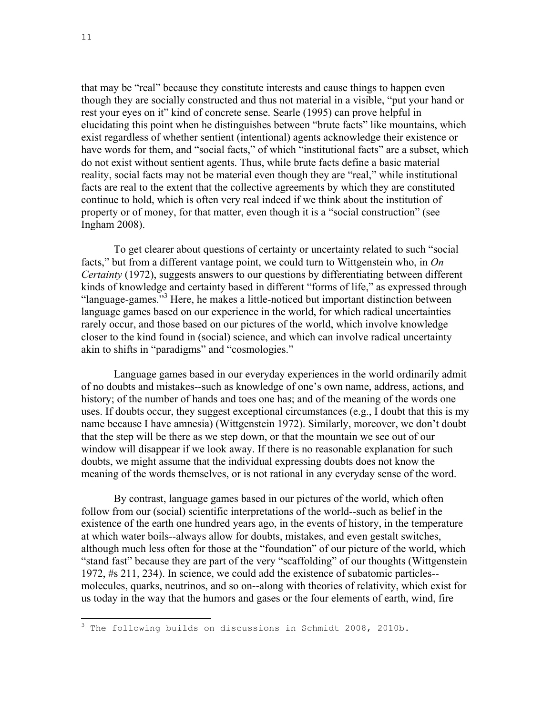that may be "real" because they constitute interests and cause things to happen even though they are socially constructed and thus not material in a visible, "put your hand or rest your eyes on it" kind of concrete sense. Searle (1995) can prove helpful in elucidating this point when he distinguishes between "brute facts" like mountains, which exist regardless of whether sentient (intentional) agents acknowledge their existence or have words for them, and "social facts," of which "institutional facts" are a subset, which do not exist without sentient agents. Thus, while brute facts define a basic material reality, social facts may not be material even though they are "real," while institutional facts are real to the extent that the collective agreements by which they are constituted continue to hold, which is often very real indeed if we think about the institution of property or of money, for that matter, even though it is a "social construction" (see Ingham 2008).

To get clearer about questions of certainty or uncertainty related to such "social facts," but from a different vantage point, we could turn to Wittgenstein who, in *On Certainty* (1972), suggests answers to our questions by differentiating between different kinds of knowledge and certainty based in different "forms of life," as expressed through "language-games."<sup>3</sup> Here, he makes a little-noticed but important distinction between language games based on our experience in the world, for which radical uncertainties rarely occur, and those based on our pictures of the world, which involve knowledge closer to the kind found in (social) science, and which can involve radical uncertainty akin to shifts in "paradigms" and "cosmologies."

Language games based in our everyday experiences in the world ordinarily admit of no doubts and mistakes--such as knowledge of one's own name, address, actions, and history; of the number of hands and toes one has; and of the meaning of the words one uses. If doubts occur, they suggest exceptional circumstances (e.g., I doubt that this is my name because I have amnesia) (Wittgenstein 1972). Similarly, moreover, we don't doubt that the step will be there as we step down, or that the mountain we see out of our window will disappear if we look away. If there is no reasonable explanation for such doubts, we might assume that the individual expressing doubts does not know the meaning of the words themselves, or is not rational in any everyday sense of the word.

By contrast, language games based in our pictures of the world, which often follow from our (social) scientific interpretations of the world--such as belief in the existence of the earth one hundred years ago, in the events of history, in the temperature at which water boils--always allow for doubts, mistakes, and even gestalt switches, although much less often for those at the "foundation" of our picture of the world, which "stand fast" because they are part of the very "scaffolding" of our thoughts (Wittgenstein 1972, #s 211, 234). In science, we could add the existence of subatomic particles- molecules, quarks, neutrinos, and so on--along with theories of relativity, which exist for us today in the way that the humors and gases or the four elements of earth, wind, fire

i

 $3$  The following builds on discussions in Schmidt 2008, 2010b.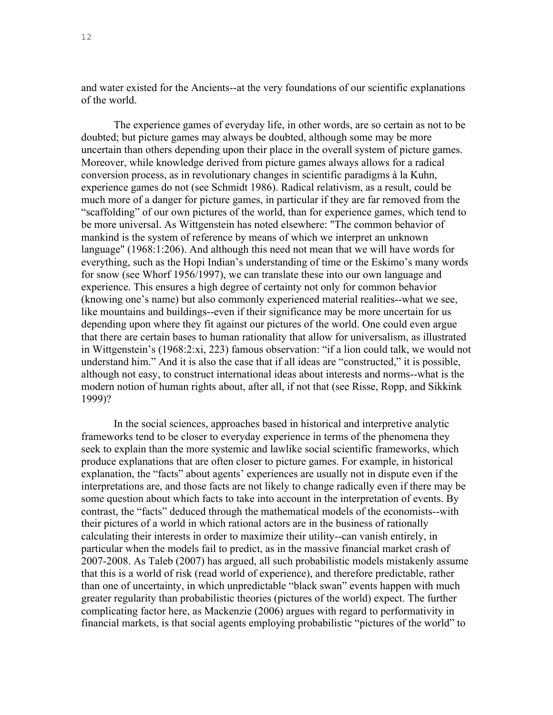and water existed for the Ancients--at the very foundations of our scientific explanations of the world.

The experience games of everyday life, in other words, are so certain as not to be doubted; but picture games may always be doubted, although some may be more uncertain than others depending upon their place in the overall system of picture games. Moreover, while knowledge derived from picture games always allows for a radical conversion process, as in revolutionary changes in scientific paradigms à la Kuhn, experience games do not (see Schmidt 1986). Radical relativism, as a result, could be much more of a danger for picture games, in particular if they are far removed from the "scaffolding" of our own pictures of the world, than for experience games, which tend to be more universal. As Wittgenstein has noted elsewhere: "The common behavior of mankind is the system of reference by means of which we interpret an unknown language" (1968:1:206). And although this need not mean that we will have words for everything, such as the Hopi Indian's understanding of time or the Eskimo's many words for snow (see Whorf 1956/1997), we can translate these into our own language and experience. This ensures a high degree of certainty not only for common behavior (knowing one's name) but also commonly experienced material realities--what we see, like mountains and buildings--even if their significance may be more uncertain for us depending upon where they fit against our pictures of the world. One could even argue that there are certain bases to human rationality that allow for universalism, as illustrated in Wittgenstein's (1968:2:xi, 223) famous observation: "if a lion could talk, we would not understand him." And it is also the case that if all ideas are "constructed," it is possible, although not easy, to construct international ideas about interests and norms--what is the modern notion of human rights about, after all, if not that (see Risse, Ropp, and Sikkink 1999)?

In the social sciences, approaches based in historical and interpretive analytic frameworks tend to be closer to everyday experience in terms of the phenomena they seek to explain than the more systemic and lawlike social scientific frameworks, which produce explanations that are often closer to picture games. For example, in historical explanation, the "facts" about agents' experiences are usually not in dispute even if the interpretations are, and those facts are not likely to change radically even if there may be some question about which facts to take into account in the interpretation of events. By contrast, the "facts" deduced through the mathematical models of the economists--with their pictures of a world in which rational actors are in the business of rationally calculating their interests in order to maximize their utility--can vanish entirely, in particular when the models fail to predict, as in the massive financial market crash of 2007-2008. As Taleb (2007) has argued, all such probabilistic models mistakenly assume that this is a world of risk (read world of experience), and therefore predictable, rather than one of uncertainty, in which unpredictable "black swan" events happen with much greater regularity than probabilistic theories (pictures of the world) expect. The further complicating factor here, as Mackenzie (2006) argues with regard to performativity in financial markets, is that social agents employing probabilistic "pictures of the world" to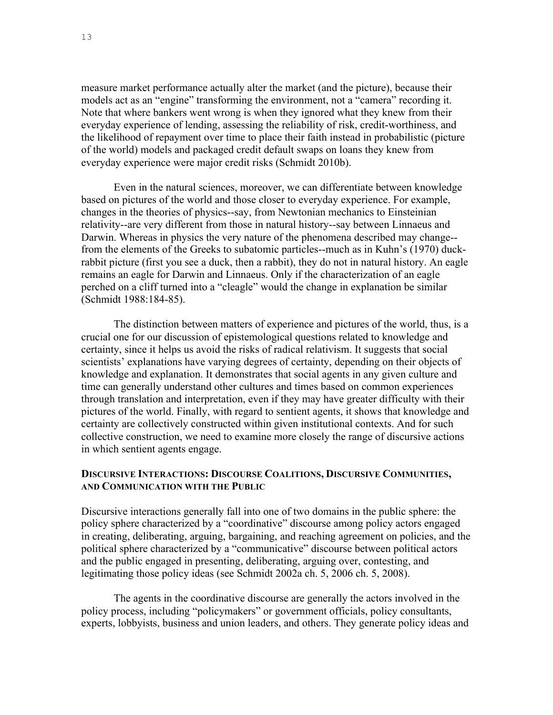measure market performance actually alter the market (and the picture), because their models act as an "engine" transforming the environment, not a "camera" recording it. Note that where bankers went wrong is when they ignored what they knew from their everyday experience of lending, assessing the reliability of risk, credit-worthiness, and the likelihood of repayment over time to place their faith instead in probabilistic (picture of the world) models and packaged credit default swaps on loans they knew from everyday experience were major credit risks (Schmidt 2010b).

Even in the natural sciences, moreover, we can differentiate between knowledge based on pictures of the world and those closer to everyday experience. For example, changes in the theories of physics--say, from Newtonian mechanics to Einsteinian relativity--are very different from those in natural history--say between Linnaeus and Darwin. Whereas in physics the very nature of the phenomena described may change- from the elements of the Greeks to subatomic particles--much as in Kuhn's (1970) duckrabbit picture (first you see a duck, then a rabbit), they do not in natural history. An eagle remains an eagle for Darwin and Linnaeus. Only if the characterization of an eagle perched on a cliff turned into a "cleagle" would the change in explanation be similar (Schmidt 1988:184-85).

The distinction between matters of experience and pictures of the world, thus, is a crucial one for our discussion of epistemological questions related to knowledge and certainty, since it helps us avoid the risks of radical relativism. It suggests that social scientists' explanations have varying degrees of certainty, depending on their objects of knowledge and explanation. It demonstrates that social agents in any given culture and time can generally understand other cultures and times based on common experiences through translation and interpretation, even if they may have greater difficulty with their pictures of the world. Finally, with regard to sentient agents, it shows that knowledge and certainty are collectively constructed within given institutional contexts. And for such collective construction, we need to examine more closely the range of discursive actions in which sentient agents engage.

# **DISCURSIVE INTERACTIONS: DISCOURSE COALITIONS, DISCURSIVE COMMUNITIES, AND COMMUNICATION WITH THE PUBLIC**

Discursive interactions generally fall into one of two domains in the public sphere: the policy sphere characterized by a "coordinative" discourse among policy actors engaged in creating, deliberating, arguing, bargaining, and reaching agreement on policies, and the political sphere characterized by a "communicative" discourse between political actors and the public engaged in presenting, deliberating, arguing over, contesting, and legitimating those policy ideas (see Schmidt 2002a ch. 5, 2006 ch. 5, 2008).

The agents in the coordinative discourse are generally the actors involved in the policy process, including "policymakers" or government officials, policy consultants, experts, lobbyists, business and union leaders, and others. They generate policy ideas and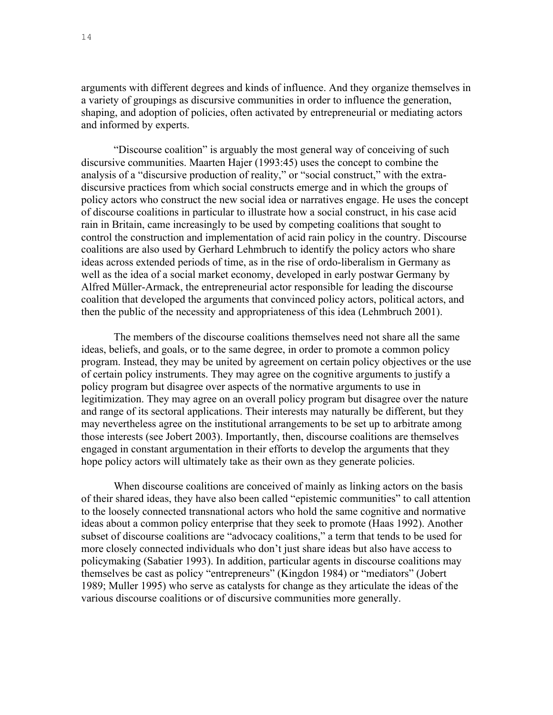arguments with different degrees and kinds of influence. And they organize themselves in a variety of groupings as discursive communities in order to influence the generation, shaping, and adoption of policies, often activated by entrepreneurial or mediating actors and informed by experts.

"Discourse coalition" is arguably the most general way of conceiving of such discursive communities. Maarten Hajer (1993:45) uses the concept to combine the analysis of a "discursive production of reality," or "social construct," with the extradiscursive practices from which social constructs emerge and in which the groups of policy actors who construct the new social idea or narratives engage. He uses the concept of discourse coalitions in particular to illustrate how a social construct, in his case acid rain in Britain, came increasingly to be used by competing coalitions that sought to control the construction and implementation of acid rain policy in the country. Discourse coalitions are also used by Gerhard Lehmbruch to identify the policy actors who share ideas across extended periods of time, as in the rise of ordo-liberalism in Germany as well as the idea of a social market economy, developed in early postwar Germany by Alfred Müller-Armack, the entrepreneurial actor responsible for leading the discourse coalition that developed the arguments that convinced policy actors, political actors, and then the public of the necessity and appropriateness of this idea (Lehmbruch 2001).

The members of the discourse coalitions themselves need not share all the same ideas, beliefs, and goals, or to the same degree, in order to promote a common policy program. Instead, they may be united by agreement on certain policy objectives or the use of certain policy instruments. They may agree on the cognitive arguments to justify a policy program but disagree over aspects of the normative arguments to use in legitimization. They may agree on an overall policy program but disagree over the nature and range of its sectoral applications. Their interests may naturally be different, but they may nevertheless agree on the institutional arrangements to be set up to arbitrate among those interests (see Jobert 2003). Importantly, then, discourse coalitions are themselves engaged in constant argumentation in their efforts to develop the arguments that they hope policy actors will ultimately take as their own as they generate policies.

When discourse coalitions are conceived of mainly as linking actors on the basis of their shared ideas, they have also been called "epistemic communities" to call attention to the loosely connected transnational actors who hold the same cognitive and normative ideas about a common policy enterprise that they seek to promote (Haas 1992). Another subset of discourse coalitions are "advocacy coalitions," a term that tends to be used for more closely connected individuals who don't just share ideas but also have access to policymaking (Sabatier 1993). In addition, particular agents in discourse coalitions may themselves be cast as policy "entrepreneurs" (Kingdon 1984) or "mediators" (Jobert 1989; Muller 1995) who serve as catalysts for change as they articulate the ideas of the various discourse coalitions or of discursive communities more generally.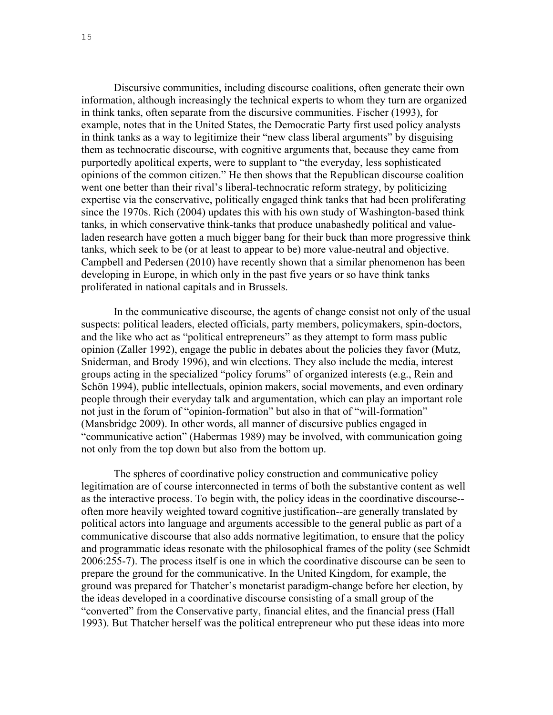Discursive communities, including discourse coalitions, often generate their own information, although increasingly the technical experts to whom they turn are organized in think tanks, often separate from the discursive communities. Fischer (1993), for example, notes that in the United States, the Democratic Party first used policy analysts in think tanks as a way to legitimize their "new class liberal arguments" by disguising them as technocratic discourse, with cognitive arguments that, because they came from purportedly apolitical experts, were to supplant to "the everyday, less sophisticated opinions of the common citizen." He then shows that the Republican discourse coalition went one better than their rival's liberal-technocratic reform strategy, by politicizing expertise via the conservative, politically engaged think tanks that had been proliferating since the 1970s. Rich (2004) updates this with his own study of Washington-based think tanks, in which conservative think-tanks that produce unabashedly political and valueladen research have gotten a much bigger bang for their buck than more progressive think tanks, which seek to be (or at least to appear to be) more value-neutral and objective. Campbell and Pedersen (2010) have recently shown that a similar phenomenon has been developing in Europe, in which only in the past five years or so have think tanks proliferated in national capitals and in Brussels.

In the communicative discourse, the agents of change consist not only of the usual suspects: political leaders, elected officials, party members, policymakers, spin-doctors, and the like who act as "political entrepreneurs" as they attempt to form mass public opinion (Zaller 1992), engage the public in debates about the policies they favor (Mutz, Sniderman, and Brody 1996), and win elections. They also include the media, interest groups acting in the specialized "policy forums" of organized interests (e.g., Rein and Schön 1994), public intellectuals, opinion makers, social movements, and even ordinary people through their everyday talk and argumentation, which can play an important role not just in the forum of "opinion-formation" but also in that of "will-formation" (Mansbridge 2009). In other words, all manner of discursive publics engaged in "communicative action" (Habermas 1989) may be involved, with communication going not only from the top down but also from the bottom up.

The spheres of coordinative policy construction and communicative policy legitimation are of course interconnected in terms of both the substantive content as well as the interactive process. To begin with, the policy ideas in the coordinative discourse- often more heavily weighted toward cognitive justification--are generally translated by political actors into language and arguments accessible to the general public as part of a communicative discourse that also adds normative legitimation, to ensure that the policy and programmatic ideas resonate with the philosophical frames of the polity (see Schmidt 2006:255-7). The process itself is one in which the coordinative discourse can be seen to prepare the ground for the communicative. In the United Kingdom, for example, the ground was prepared for Thatcher's monetarist paradigm-change before her election, by the ideas developed in a coordinative discourse consisting of a small group of the "converted" from the Conservative party, financial elites, and the financial press (Hall 1993). But Thatcher herself was the political entrepreneur who put these ideas into more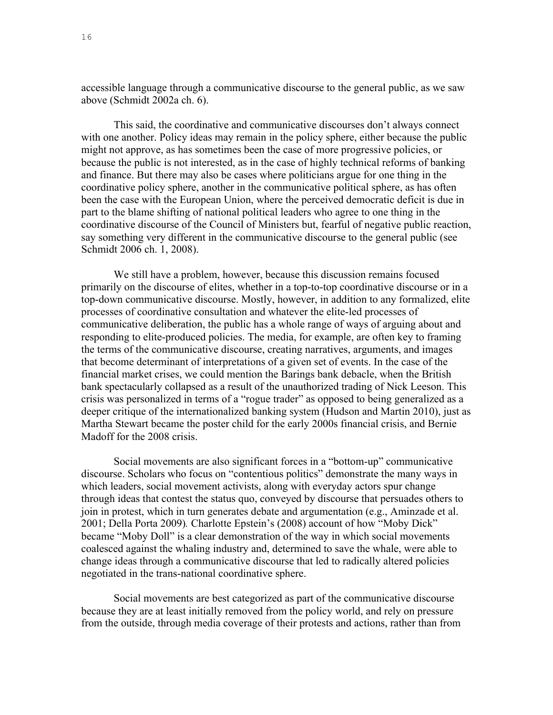accessible language through a communicative discourse to the general public, as we saw above (Schmidt 2002a ch. 6).

This said, the coordinative and communicative discourses don't always connect with one another. Policy ideas may remain in the policy sphere, either because the public might not approve, as has sometimes been the case of more progressive policies, or because the public is not interested, as in the case of highly technical reforms of banking and finance. But there may also be cases where politicians argue for one thing in the coordinative policy sphere, another in the communicative political sphere, as has often been the case with the European Union, where the perceived democratic deficit is due in part to the blame shifting of national political leaders who agree to one thing in the coordinative discourse of the Council of Ministers but, fearful of negative public reaction, say something very different in the communicative discourse to the general public (see Schmidt 2006 ch. 1, 2008).

We still have a problem, however, because this discussion remains focused primarily on the discourse of elites, whether in a top-to-top coordinative discourse or in a top-down communicative discourse. Mostly, however, in addition to any formalized, elite processes of coordinative consultation and whatever the elite-led processes of communicative deliberation, the public has a whole range of ways of arguing about and responding to elite-produced policies. The media, for example, are often key to framing the terms of the communicative discourse, creating narratives, arguments, and images that become determinant of interpretations of a given set of events. In the case of the financial market crises, we could mention the Barings bank debacle, when the British bank spectacularly collapsed as a result of the unauthorized trading of Nick Leeson. This crisis was personalized in terms of a "rogue trader" as opposed to being generalized as a deeper critique of the internationalized banking system (Hudson and Martin 2010), just as Martha Stewart became the poster child for the early 2000s financial crisis, and Bernie Madoff for the 2008 crisis.

Social movements are also significant forces in a "bottom-up" communicative discourse. Scholars who focus on "contentious politics" demonstrate the many ways in which leaders, social movement activists, along with everyday actors spur change through ideas that contest the status quo, conveyed by discourse that persuades others to join in protest, which in turn generates debate and argumentation (e.g., Aminzade et al. 2001; Della Porta 2009)*.* Charlotte Epstein's (2008) account of how "Moby Dick" became "Moby Doll" is a clear demonstration of the way in which social movements coalesced against the whaling industry and, determined to save the whale, were able to change ideas through a communicative discourse that led to radically altered policies negotiated in the trans-national coordinative sphere.

Social movements are best categorized as part of the communicative discourse because they are at least initially removed from the policy world, and rely on pressure from the outside, through media coverage of their protests and actions, rather than from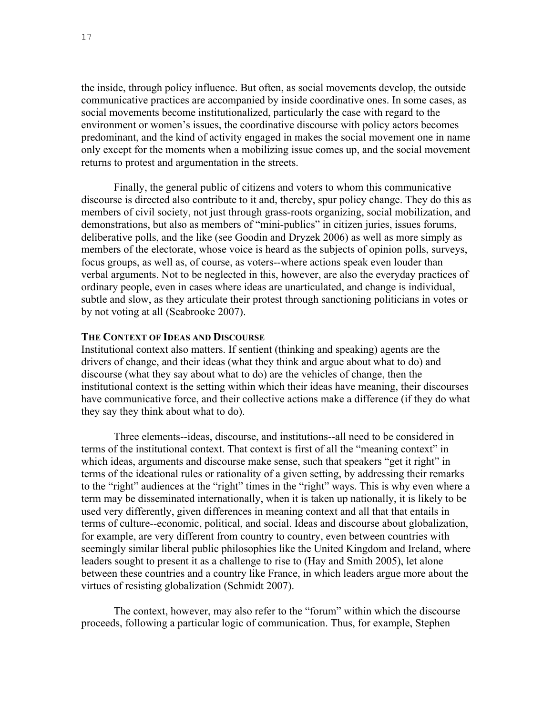the inside, through policy influence. But often, as social movements develop, the outside communicative practices are accompanied by inside coordinative ones. In some cases, as social movements become institutionalized, particularly the case with regard to the environment or women's issues, the coordinative discourse with policy actors becomes predominant, and the kind of activity engaged in makes the social movement one in name only except for the moments when a mobilizing issue comes up, and the social movement returns to protest and argumentation in the streets.

Finally, the general public of citizens and voters to whom this communicative discourse is directed also contribute to it and, thereby, spur policy change. They do this as members of civil society, not just through grass-roots organizing, social mobilization, and demonstrations, but also as members of "mini-publics" in citizen juries, issues forums, deliberative polls, and the like (see Goodin and Dryzek 2006) as well as more simply as members of the electorate, whose voice is heard as the subjects of opinion polls, surveys, focus groups, as well as, of course, as voters--where actions speak even louder than verbal arguments. Not to be neglected in this, however, are also the everyday practices of ordinary people, even in cases where ideas are unarticulated, and change is individual, subtle and slow, as they articulate their protest through sanctioning politicians in votes or by not voting at all (Seabrooke 2007).

### **THE CONTEXT OF IDEAS AND DISCOURSE**

Institutional context also matters. If sentient (thinking and speaking) agents are the drivers of change, and their ideas (what they think and argue about what to do) and discourse (what they say about what to do) are the vehicles of change, then the institutional context is the setting within which their ideas have meaning, their discourses have communicative force, and their collective actions make a difference (if they do what they say they think about what to do).

Three elements--ideas, discourse, and institutions--all need to be considered in terms of the institutional context. That context is first of all the "meaning context" in which ideas, arguments and discourse make sense, such that speakers "get it right" in terms of the ideational rules or rationality of a given setting, by addressing their remarks to the "right" audiences at the "right" times in the "right" ways. This is why even where a term may be disseminated internationally, when it is taken up nationally, it is likely to be used very differently, given differences in meaning context and all that that entails in terms of culture--economic, political, and social. Ideas and discourse about globalization, for example, are very different from country to country, even between countries with seemingly similar liberal public philosophies like the United Kingdom and Ireland, where leaders sought to present it as a challenge to rise to (Hay and Smith 2005), let alone between these countries and a country like France, in which leaders argue more about the virtues of resisting globalization (Schmidt 2007).

The context, however, may also refer to the "forum" within which the discourse proceeds, following a particular logic of communication. Thus, for example, Stephen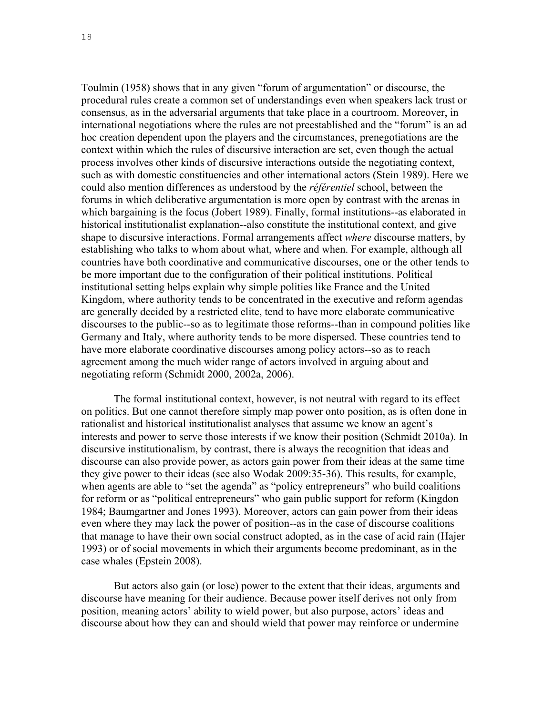Toulmin (1958) shows that in any given "forum of argumentation" or discourse, the procedural rules create a common set of understandings even when speakers lack trust or consensus, as in the adversarial arguments that take place in a courtroom. Moreover, in international negotiations where the rules are not preestablished and the "forum" is an ad hoc creation dependent upon the players and the circumstances, prenegotiations are the context within which the rules of discursive interaction are set, even though the actual process involves other kinds of discursive interactions outside the negotiating context, such as with domestic constituencies and other international actors (Stein 1989). Here we could also mention differences as understood by the *référentiel* school, between the forums in which deliberative argumentation is more open by contrast with the arenas in which bargaining is the focus (Jobert 1989). Finally, formal institutions--as elaborated in historical institutionalist explanation--also constitute the institutional context, and give shape to discursive interactions. Formal arrangements affect *where* discourse matters, by establishing who talks to whom about what, where and when. For example, although all countries have both coordinative and communicative discourses, one or the other tends to be more important due to the configuration of their political institutions. Political institutional setting helps explain why simple polities like France and the United Kingdom, where authority tends to be concentrated in the executive and reform agendas are generally decided by a restricted elite, tend to have more elaborate communicative discourses to the public--so as to legitimate those reforms--than in compound polities like Germany and Italy, where authority tends to be more dispersed. These countries tend to have more elaborate coordinative discourses among policy actors--so as to reach agreement among the much wider range of actors involved in arguing about and negotiating reform (Schmidt 2000, 2002a, 2006).

The formal institutional context, however, is not neutral with regard to its effect on politics. But one cannot therefore simply map power onto position, as is often done in rationalist and historical institutionalist analyses that assume we know an agent's interests and power to serve those interests if we know their position (Schmidt 2010a). In discursive institutionalism, by contrast, there is always the recognition that ideas and discourse can also provide power, as actors gain power from their ideas at the same time they give power to their ideas (see also Wodak 2009:35-36). This results, for example, when agents are able to "set the agenda" as "policy entrepreneurs" who build coalitions for reform or as "political entrepreneurs" who gain public support for reform (Kingdon 1984; Baumgartner and Jones 1993). Moreover, actors can gain power from their ideas even where they may lack the power of position--as in the case of discourse coalitions that manage to have their own social construct adopted, as in the case of acid rain (Hajer 1993) or of social movements in which their arguments become predominant, as in the case whales (Epstein 2008).

But actors also gain (or lose) power to the extent that their ideas, arguments and discourse have meaning for their audience. Because power itself derives not only from position, meaning actors' ability to wield power, but also purpose, actors' ideas and discourse about how they can and should wield that power may reinforce or undermine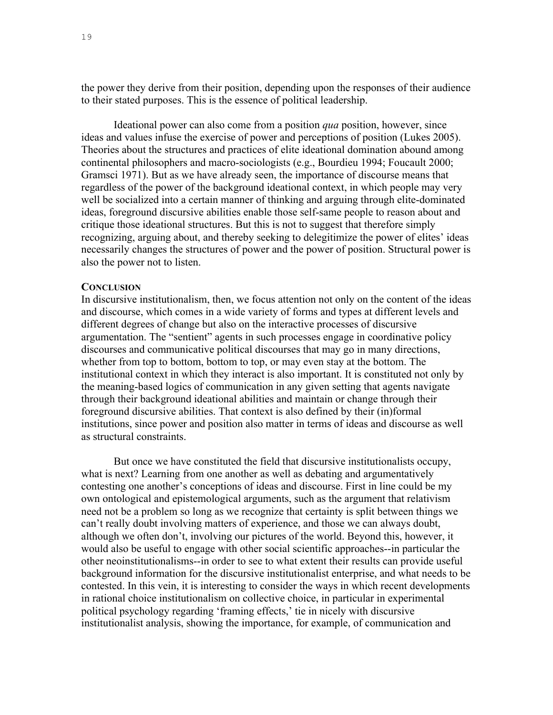the power they derive from their position, depending upon the responses of their audience to their stated purposes. This is the essence of political leadership.

Ideational power can also come from a position *qua* position, however, since ideas and values infuse the exercise of power and perceptions of position (Lukes 2005). Theories about the structures and practices of elite ideational domination abound among continental philosophers and macro-sociologists (e.g., Bourdieu 1994; Foucault 2000; Gramsci 1971). But as we have already seen, the importance of discourse means that regardless of the power of the background ideational context, in which people may very well be socialized into a certain manner of thinking and arguing through elite-dominated ideas, foreground discursive abilities enable those self-same people to reason about and critique those ideational structures. But this is not to suggest that therefore simply recognizing, arguing about, and thereby seeking to delegitimize the power of elites' ideas necessarily changes the structures of power and the power of position. Structural power is also the power not to listen.

#### **CONCLUSION**

In discursive institutionalism, then, we focus attention not only on the content of the ideas and discourse, which comes in a wide variety of forms and types at different levels and different degrees of change but also on the interactive processes of discursive argumentation. The "sentient" agents in such processes engage in coordinative policy discourses and communicative political discourses that may go in many directions, whether from top to bottom, bottom to top, or may even stay at the bottom. The institutional context in which they interact is also important. It is constituted not only by the meaning-based logics of communication in any given setting that agents navigate through their background ideational abilities and maintain or change through their foreground discursive abilities. That context is also defined by their (in)formal institutions, since power and position also matter in terms of ideas and discourse as well as structural constraints.

But once we have constituted the field that discursive institutionalists occupy, what is next? Learning from one another as well as debating and argumentatively contesting one another's conceptions of ideas and discourse. First in line could be my own ontological and epistemological arguments, such as the argument that relativism need not be a problem so long as we recognize that certainty is split between things we can't really doubt involving matters of experience, and those we can always doubt, although we often don't, involving our pictures of the world. Beyond this, however, it would also be useful to engage with other social scientific approaches--in particular the other neoinstitutionalisms--in order to see to what extent their results can provide useful background information for the discursive institutionalist enterprise, and what needs to be contested. In this vein, it is interesting to consider the ways in which recent developments in rational choice institutionalism on collective choice, in particular in experimental political psychology regarding 'framing effects,' tie in nicely with discursive institutionalist analysis, showing the importance, for example, of communication and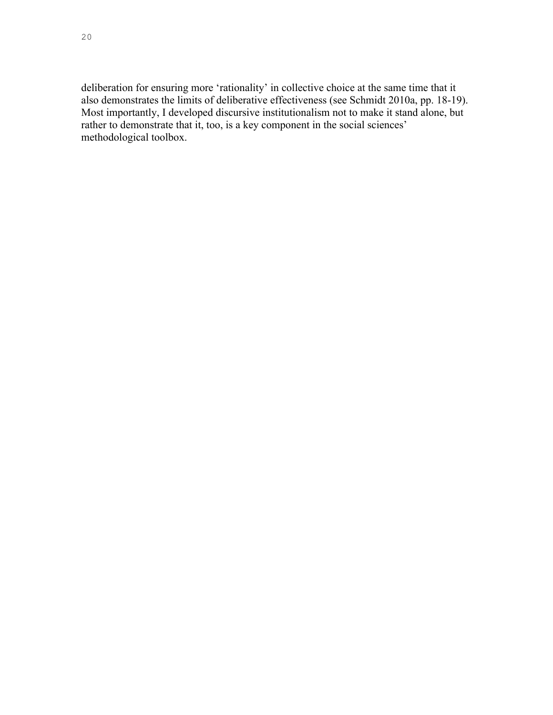deliberation for ensuring more 'rationality' in collective choice at the same time that it also demonstrates the limits of deliberative effectiveness (see Schmidt 2010a, pp. 18-19). Most importantly, I developed discursive institutionalism not to make it stand alone, but rather to demonstrate that it, too, is a key component in the social sciences' methodological toolbox.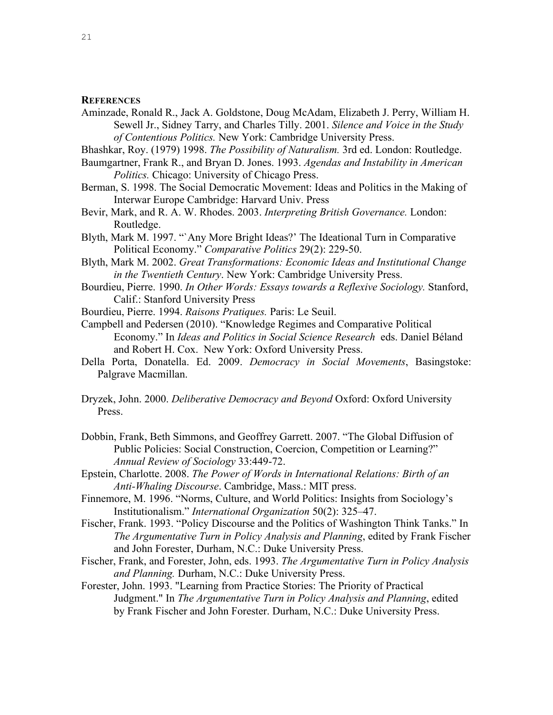### **REFERENCES**

- Aminzade, Ronald R., Jack A. Goldstone, Doug McAdam, Elizabeth J. Perry, William H. Sewell Jr., Sidney Tarry, and Charles Tilly. 2001. *Silence and Voice in the Study of Contentious Politics.* New York: Cambridge University Press.
- Bhashkar, Roy. (1979) 1998. *The Possibility of Naturalism.* 3rd ed. London: Routledge.
- Baumgartner, Frank R., and Bryan D. Jones. 1993. *Agendas and Instability in American Politics.* Chicago: University of Chicago Press.
- Berman, S. 1998. The Social Democratic Movement: Ideas and Politics in the Making of Interwar Europe Cambridge: Harvard Univ. Press
- Bevir, Mark, and R. A. W. Rhodes. 2003. *Interpreting British Governance.* London: Routledge.
- Blyth, Mark M. 1997. "`Any More Bright Ideas?' The Ideational Turn in Comparative Political Economy." *Comparative Politics* 29(2): 229-50.
- Blyth, Mark M. 2002. *Great Transformations: Economic Ideas and Institutional Change in the Twentieth Century*. New York: Cambridge University Press.
- Bourdieu, Pierre. 1990. *In Other Words: Essays towards a Reflexive Sociology.* Stanford, Calif.: Stanford University Press
- Bourdieu, Pierre. 1994. *Raisons Pratiques.* Paris: Le Seuil.
- Campbell and Pedersen (2010). "Knowledge Regimes and Comparative Political Economy." In *Ideas and Politics in Social Science Research* eds. Daniel Béland and Robert H. Cox. New York: Oxford University Press.
- Della Porta, Donatella. Ed. 2009. *Democracy in Social Movements*, Basingstoke: Palgrave Macmillan.
- Dryzek, John. 2000. *Deliberative Democracy and Beyond* Oxford: Oxford University Press.
- Dobbin, Frank, Beth Simmons, and Geoffrey Garrett. 2007. "The Global Diffusion of Public Policies: Social Construction, Coercion, Competition or Learning?" *Annual Review of Sociology* 33:449-72.
- Epstein, Charlotte. 2008. *The Power of Words in International Relations: Birth of an Anti-Whaling Discourse*. Cambridge, Mass.: MIT press.
- Finnemore, M. 1996. "Norms, Culture, and World Politics: Insights from Sociology's Institutionalism." *International Organization* 50(2): 325–47.
- Fischer, Frank. 1993. "Policy Discourse and the Politics of Washington Think Tanks." In *The Argumentative Turn in Policy Analysis and Planning*, edited by Frank Fischer and John Forester, Durham, N.C.: Duke University Press.
- Fischer, Frank, and Forester, John, eds. 1993. *The Argumentative Turn in Policy Analysis and Planning.* Durham, N.C.: Duke University Press.
- Forester, John. 1993. "Learning from Practice Stories: The Priority of Practical Judgment." In *The Argumentative Turn in Policy Analysis and Planning*, edited by Frank Fischer and John Forester. Durham, N.C.: Duke University Press.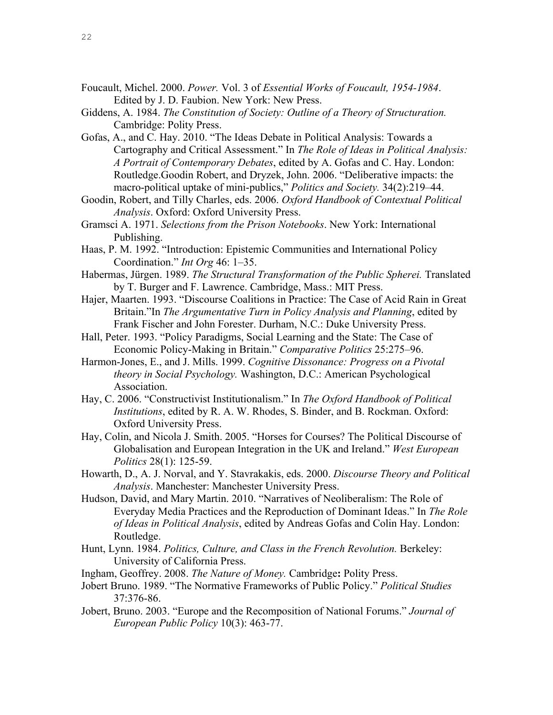- Foucault, Michel. 2000. *Power.* Vol. 3 of *Essential Works of Foucault, 1954-1984*. Edited by J. D. Faubion. New York: New Press.
- Giddens, A. 1984. *The Constitution of Society: Outline of a Theory of Structuration.* Cambridge: Polity Press.
- Gofas, A., and C. Hay. 2010. "The Ideas Debate in Political Analysis: Towards a Cartography and Critical Assessment." In *The Role of Ideas in Political Analysis: A Portrait of Contemporary Debates*, edited by A. Gofas and C. Hay. London: Routledge.Goodin Robert, and Dryzek, John. 2006. "Deliberative impacts: the macro-political uptake of mini-publics," *Politics and Society.* 34(2):219–44.
- Goodin, Robert, and Tilly Charles, eds. 2006. *Oxford Handbook of Contextual Political Analysis*. Oxford: Oxford University Press.
- Gramsci A. 1971. *Selections from the Prison Notebooks*. New York: International Publishing.
- Haas, P. M. 1992. "Introduction: Epistemic Communities and International Policy Coordination." *Int Org* 46: 1–35.
- Habermas, Jürgen. 1989. *The Structural Transformation of the Public Spherei.* Translated by T. Burger and F. Lawrence. Cambridge, Mass.: MIT Press.
- Hajer, Maarten. 1993. "Discourse Coalitions in Practice: The Case of Acid Rain in Great Britain."In *The Argumentative Turn in Policy Analysis and Planning*, edited by Frank Fischer and John Forester. Durham, N.C.: Duke University Press.
- Hall, Peter. 1993. "Policy Paradigms, Social Learning and the State: The Case of Economic Policy-Making in Britain." *Comparative Politics* 25:275–96.
- Harmon-Jones, E., and J. Mills. 1999. *Cognitive Dissonance: Progress on a Pivotal theory in Social Psychology.* Washington, D.C.: American Psychological Association.
- Hay, C. 2006. "Constructivist Institutionalism." In *The Oxford Handbook of Political Institutions*, edited by R. A. W. Rhodes, S. Binder, and B. Rockman. Oxford: Oxford University Press.
- Hay, Colin, and Nicola J. Smith. 2005. "Horses for Courses? The Political Discourse of Globalisation and European Integration in the UK and Ireland." *West European Politics* 28(1): 125-59.
- Howarth, D., A. J. Norval, and Y. Stavrakakis, eds. 2000. *Discourse Theory and Political Analysis*. Manchester: Manchester University Press.
- Hudson, David, and Mary Martin. 2010. "Narratives of Neoliberalism: The Role of Everyday Media Practices and the Reproduction of Dominant Ideas." In *The Role of Ideas in Political Analysis*, edited by Andreas Gofas and Colin Hay. London: Routledge.
- Hunt, Lynn. 1984. *Politics, Culture, and Class in the French Revolution.* Berkeley: University of California Press.
- Ingham, Geoffrey. 2008. *The Nature of Money.* Cambridge**:** Polity Press.
- Jobert Bruno. 1989. "The Normative Frameworks of Public Policy." *Political Studies*  37:376-86.
- Jobert, Bruno. 2003. "Europe and the Recomposition of National Forums." *Journal of European Public Policy* 10(3): 463-77.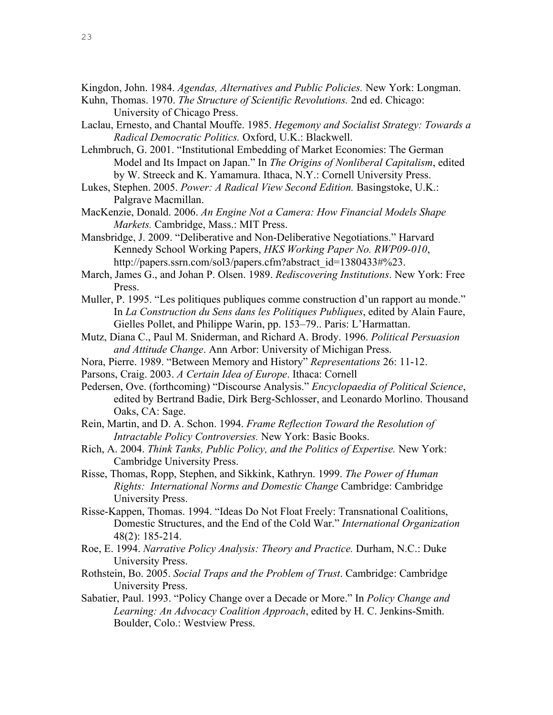Kingdon, John. 1984. *Agendas, Alternatives and Public Policies.* New York: Longman.

- Kuhn, Thomas. 1970. *The Structure of Scientific Revolutions.* 2nd ed. Chicago: University of Chicago Press.
- Laclau, Ernesto, and Chantal Mouffe. 1985. *Hegemony and Socialist Strategy: Towards a Radical Democratic Politics.* Oxford, U.K.: Blackwell.

Lehmbruch, G. 2001. "Institutional Embedding of Market Economies: The German Model and Its Impact on Japan." In *The Origins of Nonliberal Capitalism*, edited by W. Streeck and K. Yamamura. Ithaca, N.Y.: Cornell University Press.

- Lukes, Stephen. 2005. *Power: A Radical View Second Edition.* Basingstoke, U.K.: Palgrave Macmillan.
- MacKenzie, Donald. 2006. *An Engine Not a Camera: How Financial Models Shape Markets.* Cambridge, Mass.: MIT Press.
- Mansbridge, J. 2009. "Deliberative and Non-Deliberative Negotiations." Harvard Kennedy School Working Papers, *HKS Working Paper No. RWP09-010*, http://papers.ssrn.com/sol3/papers.cfm?abstract\_id=1380433#%23.
- March, James G., and Johan P. Olsen. 1989. *Rediscovering Institutions*. New York: Free Press.
- Muller, P. 1995. "Les politiques publiques comme construction d'un rapport au monde." In *La Construction du Sens dans les Politiques Publiques*, edited by Alain Faure, Gielles Pollet, and Philippe Warin, pp. 153–79.. Paris: L'Harmattan.
- Mutz, Diana C., Paul M. Sniderman, and Richard A. Brody. 1996. *Political Persuasion and Attitude Change*. Ann Arbor: University of Michigan Press.
- Nora, Pierre. 1989. "Between Memory and History" *Representations* 26: 11-12.
- Parsons, Craig. 2003. *A Certain Idea of Europe*. Ithaca: Cornell
- Pedersen, Ove. (forthcoming) "Discourse Analysis." *Encyclopaedia of Political Science*, edited by Bertrand Badie, Dirk Berg-Schlosser, and Leonardo Morlino. Thousand Oaks, CA: Sage.
- Rein, Martin, and D. A. Schon. 1994. *Frame Reflection Toward the Resolution of Intractable Policy Controversies.* New York: Basic Books.
- Rich, A. 2004. *Think Tanks, Public Policy, and the Politics of Expertise.* New York: Cambridge University Press.
- Risse, Thomas, Ropp, Stephen, and Sikkink, Kathryn. 1999. *The Power of Human Rights: International Norms and Domestic Change* Cambridge: Cambridge University Press.
- Risse-Kappen, Thomas. 1994. "Ideas Do Not Float Freely: Transnational Coalitions, Domestic Structures, and the End of the Cold War." *International Organization* 48(2): 185-214.
- Roe, E. 1994. *Narrative Policy Analysis: Theory and Practice.* Durham, N.C.: Duke University Press.
- Rothstein, Bo. 2005. *Social Traps and the Problem of Trust*. Cambridge: Cambridge University Press.
- Sabatier, Paul. 1993. "Policy Change over a Decade or More." In *Policy Change and Learning: An Advocacy Coalition Approach*, edited by H. C. Jenkins-Smith. Boulder, Colo.: Westview Press.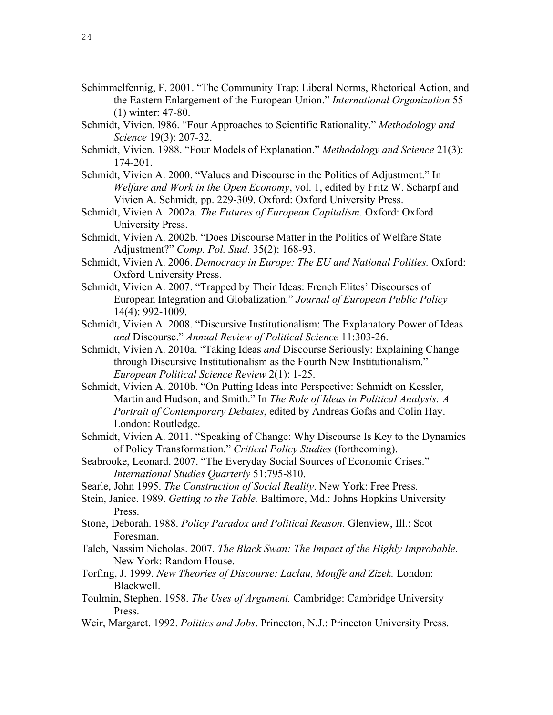- Schimmelfennig, F. 2001. "The Community Trap: Liberal Norms, Rhetorical Action, and the Eastern Enlargement of the European Union." *International Organization* 55 (1) winter: 47-80.
- Schmidt, Vivien. l986. "Four Approaches to Scientific Rationality." *Methodology and Science* 19(3): 207-32.
- Schmidt, Vivien. 1988. "Four Models of Explanation." *Methodology and Science* 21(3): 174-201.
- Schmidt, Vivien A. 2000. "Values and Discourse in the Politics of Adjustment." In *Welfare and Work in the Open Economy*, vol. 1, edited by Fritz W. Scharpf and Vivien A. Schmidt, pp. 229-309. Oxford: Oxford University Press.
- Schmidt, Vivien A. 2002a. *The Futures of European Capitalism.* Oxford: Oxford University Press.
- Schmidt, Vivien A. 2002b. "Does Discourse Matter in the Politics of Welfare State Adjustment?" *Comp. Pol. Stud.* 35(2): 168-93.
- Schmidt, Vivien A. 2006. *Democracy in Europe: The EU and National Polities.* Oxford: Oxford University Press.
- Schmidt, Vivien A. 2007. "Trapped by Their Ideas: French Elites' Discourses of European Integration and Globalization." *Journal of European Public Policy* 14(4): 992-1009.
- Schmidt, Vivien A. 2008. "Discursive Institutionalism: The Explanatory Power of Ideas *and* Discourse." *Annual Review of Political Science* 11:303-26.
- Schmidt, Vivien A. 2010a. "Taking Ideas *and* Discourse Seriously: Explaining Change through Discursive Institutionalism as the Fourth New Institutionalism." *European Political Science Review* 2(1): 1-25.
- Schmidt, Vivien A. 2010b. "On Putting Ideas into Perspective: Schmidt on Kessler, Martin and Hudson, and Smith." In *The Role of Ideas in Political Analysis: A Portrait of Contemporary Debates*, edited by Andreas Gofas and Colin Hay. London: Routledge.
- Schmidt, Vivien A. 2011. "Speaking of Change: Why Discourse Is Key to the Dynamics of Policy Transformation." *Critical Policy Studies* (forthcoming).
- Seabrooke, Leonard. 2007. "The Everyday Social Sources of Economic Crises." *International Studies Quarterly* 51:795-810.
- Searle, John 1995. *The Construction of Social Reality*. New York: Free Press.
- Stein, Janice. 1989. *Getting to the Table.* Baltimore, Md.: Johns Hopkins University Press.
- Stone, Deborah. 1988. *Policy Paradox and Political Reason.* Glenview, Ill.: Scot Foresman.
- Taleb, Nassim Nicholas. 2007. *The Black Swan: The Impact of the Highly Improbable*. New York: Random House.
- Torfing, J. 1999. *New Theories of Discourse: Laclau, Mouffe and Zizek.* London: Blackwell.
- Toulmin, Stephen. 1958. *The Uses of Argument.* Cambridge: Cambridge University Press.
- Weir, Margaret. 1992. *Politics and Jobs*. Princeton, N.J.: Princeton University Press.